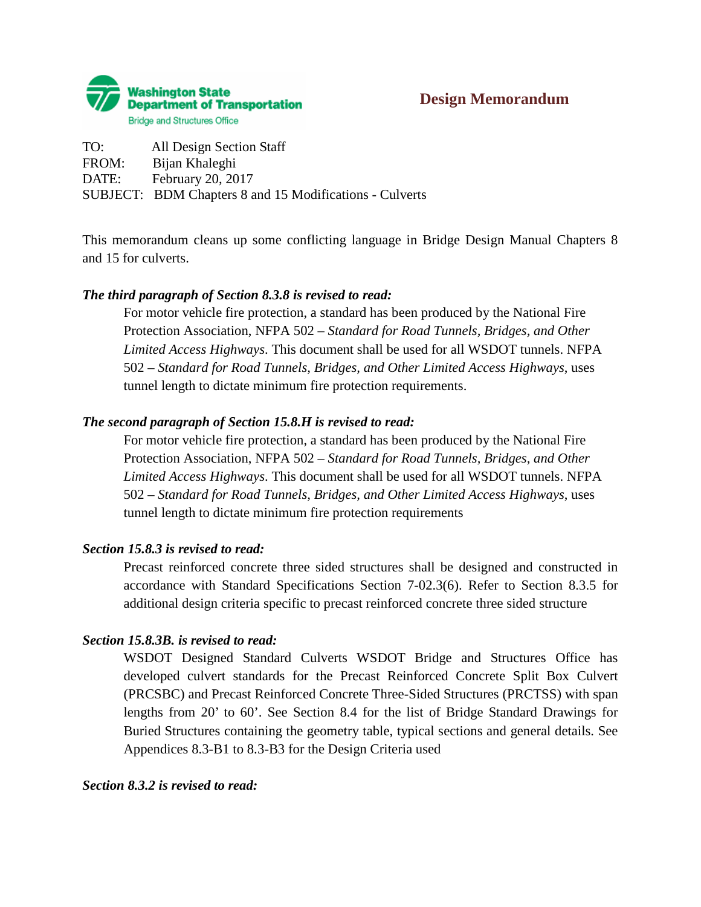

TO: All Design Section Staff FROM: Bijan Khaleghi DATE: February 20, 2017 SUBJECT: BDM Chapters 8 and 15 Modifications - Culverts

This memorandum cleans up some conflicting language in Bridge Design Manual Chapters 8 and 15 for culverts.

## *The third paragraph of Section 8.3.8 is revised to read:*

For motor vehicle fire protection, a standard has been produced by the National Fire Protection Association, NFPA 502 *– Standard for Road Tunnels, Bridges, and Other Limited Access Highways*. This document shall be used for all WSDOT tunnels. NFPA 502 *– Standard for Road Tunnels, Bridges, and Other Limited Access Highways*, uses tunnel length to dictate minimum fire protection requirements.

### *The second paragraph of Section 15.8.H is revised to read:*

For motor vehicle fire protection, a standard has been produced by the National Fire Protection Association, NFPA 502 *– Standard for Road Tunnels, Bridges, and Other Limited Access Highways*. This document shall be used for all WSDOT tunnels. NFPA 502 *– Standard for Road Tunnels, Bridges, and Other Limited Access Highways*, uses tunnel length to dictate minimum fire protection requirements

#### *Section 15.8.3 is revised to read:*

Precast reinforced concrete three sided structures shall be designed and constructed in accordance with Standard Specifications Section 7-02.3(6). Refer to Section 8.3.5 for additional design criteria specific to precast reinforced concrete three sided structure

## *Section 15.8.3B. is revised to read:*

WSDOT Designed Standard Culverts WSDOT Bridge and Structures Office has developed culvert standards for the Precast Reinforced Concrete Split Box Culvert (PRCSBC) and Precast Reinforced Concrete Three-Sided Structures (PRCTSS) with span lengths from 20' to 60'. See Section 8.4 for the list of Bridge Standard Drawings for Buried Structures containing the geometry table, typical sections and general details. See Appendices 8.3-B1 to 8.3-B3 for the Design Criteria used

#### *Section 8.3.2 is revised to read:*